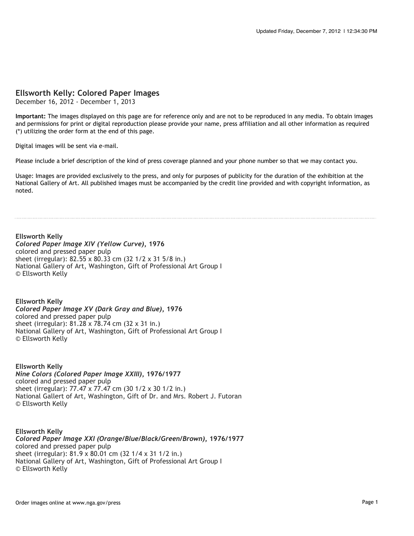## **Ellsworth Kelly: Colored Paper Images**

December 16, 2012 - December 1, 2013

**Important:** The images displayed on this page are for reference only and are not to be reproduced in any media. To obtain images and permissions for print or digital reproduction please provide your name, press affiliation and all other information as required (\*) utilizing the order form at the end of this page.

Digital images will be sent via e-mail.

Please include a brief description of the kind of press coverage planned and your phone number so that we may contact you.

Usage: Images are provided exclusively to the press, and only for purposes of publicity for the duration of the exhibition at the National Gallery of Art. All published images must be accompanied by the credit line provided and with copyright information, as noted.

**Ellsworth Kelly** *Colored Paper Image XIV (Yellow Curve)***, 1976** colored and pressed paper pulp sheet (irregular): 82.55 x 80.33 cm (32 1/2 x 31 5/8 in.) National Gallery of Art, Washington, Gift of Professional Art Group I © Ellsworth Kelly

**Ellsworth Kelly** *Colored Paper Image XV (Dark Gray and Blue)***, 1976** colored and pressed paper pulp sheet (irregular): 81.28 x 78.74 cm (32 x 31 in.) National Gallery of Art, Washington, Gift of Professional Art Group I © Ellsworth Kelly

**Ellsworth Kelly** *Nine Colors (Colored Paper Image XXIII)***, 1976/1977** colored and pressed paper pulp sheet (irregular): 77.47 x 77.47 cm (30 1/2 x 30 1/2 in.) National Gallert of Art, Washington, Gift of Dr. and Mrs. Robert J. Futoran © Ellsworth Kelly

**Ellsworth Kelly** *Colored Paper Image XXI (Orange/Blue/Black/Green/Brown)***, 1976/1977** colored and pressed paper pulp sheet (irregular): 81.9 x 80.01 cm (32 1/4 x 31 1/2 in.) National Gallery of Art, Washington, Gift of Professional Art Group I © Ellsworth Kelly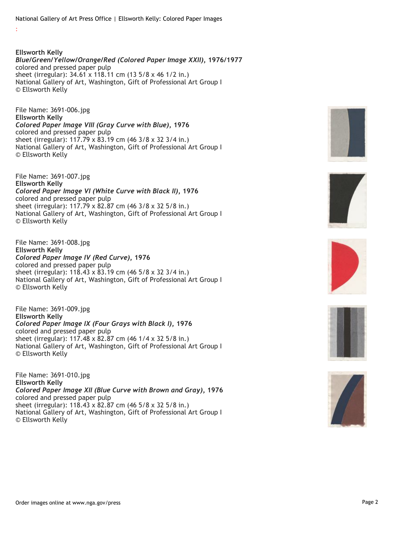National Gallery of Art Press Office | Ellsworth Kelly: Colored Paper Images

:

**Ellsworth Kelly** *Blue/Green/Yellow/Orange/Red (Colored Paper Image XXII)***, 1976/1977** colored and pressed paper pulp sheet (irregular): 34.61 x 118.11 cm (13 5/8 x 46 1/2 in.) National Gallery of Art, Washington, Gift of Professional Art Group I © Ellsworth Kelly

File Name: 3691-006.jpg **Ellsworth Kelly** *Colored Paper Image VIII (Gray Curve with Blue)***, 1976** colored and pressed paper pulp sheet (irregular): 117.79 x 83.19 cm (46 3/8 x 32 3/4 in.) National Gallery of Art, Washington, Gift of Professional Art Group I © Ellsworth Kelly

File Name: 3691-007.jpg **Ellsworth Kelly** *Colored Paper Image VI (White Curve with Black II)***, 1976** colored and pressed paper pulp sheet (irregular): 117.79 x 82.87 cm (46 3/8 x 32 5/8 in.) National Gallery of Art, Washington, Gift of Professional Art Group I © Ellsworth Kelly

File Name: 3691-008.jpg **Ellsworth Kelly** *Colored Paper Image IV (Red Curve)***, 1976** colored and pressed paper pulp sheet (irregular): 118.43 x 83.19 cm (46 5/8 x 32 3/4 in.) National Gallery of Art, Washington, Gift of Professional Art Group I © Ellsworth Kelly

File Name: 3691-009.jpg **Ellsworth Kelly** *Colored Paper Image IX (Four Grays with Black I)***, 1976** colored and pressed paper pulp sheet (irregular): 117.48 x 82.87 cm (46 1/4 x 32 5/8 in.) National Gallery of Art, Washington, Gift of Professional Art Group I © Ellsworth Kelly

File Name: 3691-010.jpg **Ellsworth Kelly** *Colored Paper Image XII (Blue Curve with Brown and Gray)***, 1976** colored and pressed paper pulp sheet (irregular): 118.43 x 82.87 cm (46 5/8 x 32 5/8 in.) National Gallery of Art, Washington, Gift of Professional Art Group I © Ellsworth Kelly









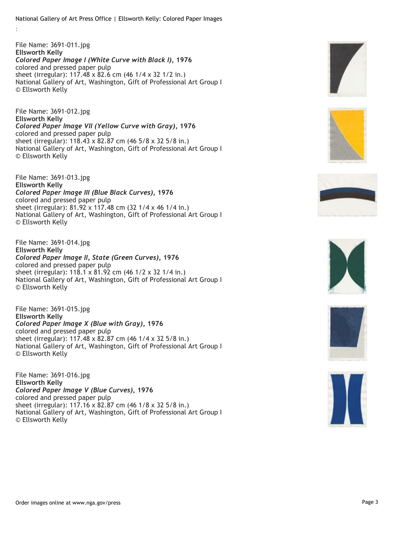National Gallery of Art Press Office | Ellsworth Kelly: Colored Paper Images

:

File Name: 3691-011.jpg **Ellsworth Kelly** *Colored Paper Image I (White Curve with Black I)***, 1976** colored and pressed paper pulp sheet (irregular): 117.48 x 82.6 cm (46 1/4 x 32 1/2 in.) National Gallery of Art, Washington, Gift of Professional Art Group I © Ellsworth Kelly

File Name: 3691-012.jpg **Ellsworth Kelly** *Colored Paper Image VII (Yellow Curve with Gray)***, 1976** colored and pressed paper pulp sheet (irregular): 118.43 x 82.87 cm (46 5/8 x 32 5/8 in.) National Gallery of Art, Washington, Gift of Professional Art Group I © Ellsworth Kelly

File Name: 3691-013.jpg **Ellsworth Kelly** *Colored Paper Image III (Blue Black Curves)***, 1976** colored and pressed paper pulp sheet (irregular): 81.92 x 117.48 cm (32 1/4 x 46 1/4 in.) National Gallery of Art, Washington, Gift of Professional Art Group I © Ellsworth Kelly

File Name: 3691-014.jpg **Ellsworth Kelly** *Colored Paper Image II, State (Green Curves)***, 1976** colored and pressed paper pulp sheet (irregular): 118.1 x 81.92 cm (46 1/2 x 32 1/4 in.) National Gallery of Art, Washington, Gift of Professional Art Group I © Ellsworth Kelly

File Name: 3691-015.jpg **Ellsworth Kelly** *Colored Paper Image X (Blue with Gray)***, 1976** colored and pressed paper pulp sheet (irregular): 117.48 x 82.87 cm (46 1/4 x 32 5/8 in.) National Gallery of Art, Washington, Gift of Professional Art Group I © Ellsworth Kelly

File Name: 3691-016.jpg **Ellsworth Kelly** *Colored Paper Image V (Blue Curves)***, 1976** colored and pressed paper pulp sheet (irregular): 117.16 x 82.87 cm (46 1/8 x 32 5/8 in.) National Gallery of Art, Washington, Gift of Professional Art Group I © Ellsworth Kelly